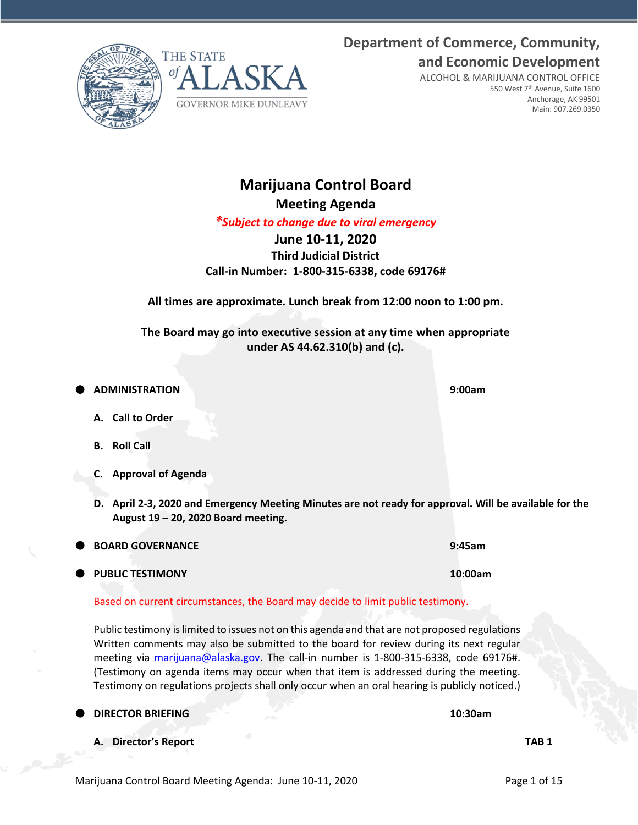**and Economic Development** ALCOHOL & MARIJUANA CONTROL OFFICE

**Department of Commerce, Community,**





# **Marijuana Control Board**

**GOVERNOR MIKE DUNLEAVY** 

**Meeting Agenda**

*\*Subject to change due to viral emergency*

## **June 10-11, 2020**

**Third Judicial District Call-in Number: 1-800-315-6338, code 69176#**

**All times are approximate. Lunch break from 12:00 noon to 1:00 pm.**

**The Board may go into executive session at any time when appropriate under AS 44.62.310(b) and (c).**

- **ADMINISTRATION 9:00am**
	- **A. Call to Order**
	- **B. Roll Call**
	- **C. Approval of Agenda**
	- **D. April 2-3, 2020 and Emergency Meeting Minutes are not ready for approval. Will be available for the August 19 – 20, 2020 Board meeting.**

|  | <b>BOARD GOVERNANCE</b> |  |
|--|-------------------------|--|
|  |                         |  |

Based on current circumstances, the Board may decide to limit public testimony.

Public testimony is limited to issues not on this agenda and that are not proposed regulations Written comments may also be submitted to the board for review during its next regular meeting via [marijuana@alaska.gov.](mailto:marijuana@alaska.gov) The call-in number is 1-800-315-6338, code 69176#. (Testimony on agenda items may occur when that item is addressed during the meeting. Testimony on regulations projects shall only occur when an oral hearing is publicly noticed.)

## **DIRECTOR BRIEFING 10:30am**

**A. Director's Report TAB 1**

| BOARD GOVERNANCE          | 9:45am  |
|---------------------------|---------|
| <b>O</b> PUBLIC TESTIMONY | 10:00am |

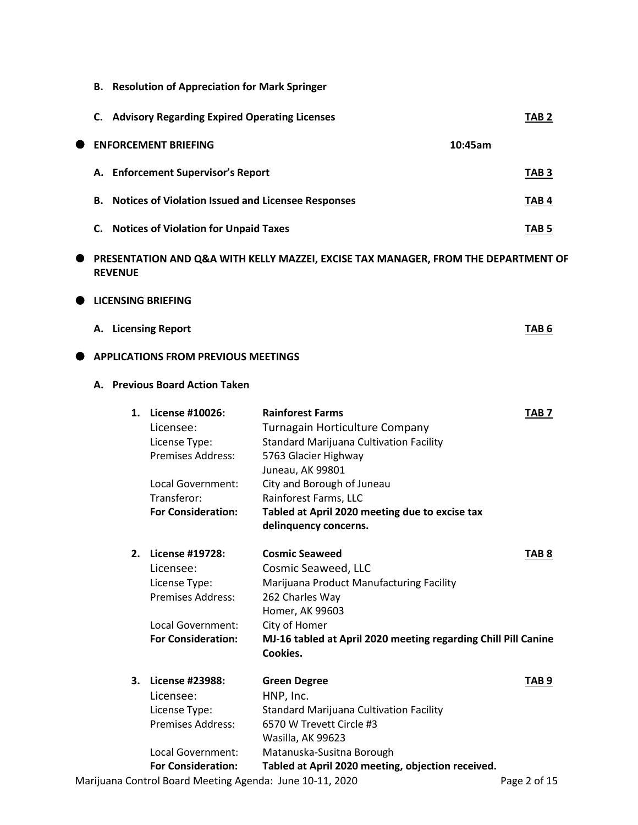**B. Resolution of Appreciation for Mark Springer**

|   | C. Advisory Regarding Expired Operating Licenses             |         | TAB 2            |
|---|--------------------------------------------------------------|---------|------------------|
| O | <b>ENFORCEMENT BRIEFING</b>                                  | 10:45am |                  |
|   | A. Enforcement Supervisor's Report                           |         | TAB <sub>3</sub> |
|   | <b>B.</b> Notices of Violation Issued and Licensee Responses |         | TAB 4            |
|   | <b>Notices of Violation for Unpaid Taxes</b><br>C.           |         | TAB 5            |

 **PRESENTATION AND Q&A WITH KELLY MAZZEI, EXCISE TAX MANAGER, FROM THE DEPARTMENT OF REVENUE**

#### $\bullet$  LICENSING BRIEFING

| A. Licensing Report | TAB <sub>6</sub> |
|---------------------|------------------|
|                     |                  |

### $\bullet$  APPLICATIONS FROM PREVIOUS MEETINGS

### **A. Previous Board Action Taken**

| 1. | License #10026:           | <b>Rainforest Farms</b><br>TAB 7                                           |  |
|----|---------------------------|----------------------------------------------------------------------------|--|
|    | Licensee:                 | Turnagain Horticulture Company                                             |  |
|    | License Type:             | Standard Marijuana Cultivation Facility                                    |  |
|    | <b>Premises Address:</b>  | 5763 Glacier Highway                                                       |  |
|    |                           | Juneau, AK 99801                                                           |  |
|    | Local Government:         | City and Borough of Juneau                                                 |  |
|    | Transferor:               | Rainforest Farms, LLC                                                      |  |
|    | <b>For Consideration:</b> | Tabled at April 2020 meeting due to excise tax                             |  |
|    |                           | delinquency concerns.                                                      |  |
| 2. | License #19728:           | <b>Cosmic Seaweed</b><br>TAB 8                                             |  |
|    | Licensee:                 | Cosmic Seaweed, LLC                                                        |  |
|    | License Type:             | Marijuana Product Manufacturing Facility                                   |  |
|    | <b>Premises Address:</b>  | 262 Charles Way                                                            |  |
|    |                           | Homer, AK 99603                                                            |  |
|    | Local Government:         | City of Homer                                                              |  |
|    | <b>For Consideration:</b> | MJ-16 tabled at April 2020 meeting regarding Chill Pill Canine<br>Cookies. |  |
| 3. | License #23988:           | <b>Green Degree</b><br>TAB 9                                               |  |
|    | Licensee:                 | HNP, Inc.                                                                  |  |
|    | License Type:             | Standard Marijuana Cultivation Facility                                    |  |
|    | <b>Premises Address:</b>  | 6570 W Trevett Circle #3                                                   |  |
|    |                           | Wasilla, AK 99623                                                          |  |
|    | Local Government:         | Matanuska-Susitna Borough                                                  |  |
|    | <b>For Consideration:</b> | Tabled at April 2020 meeting, objection received.                          |  |

Marijuana Control Board Meeting Agenda: June 10-11, 2020 **Page 2 of 15**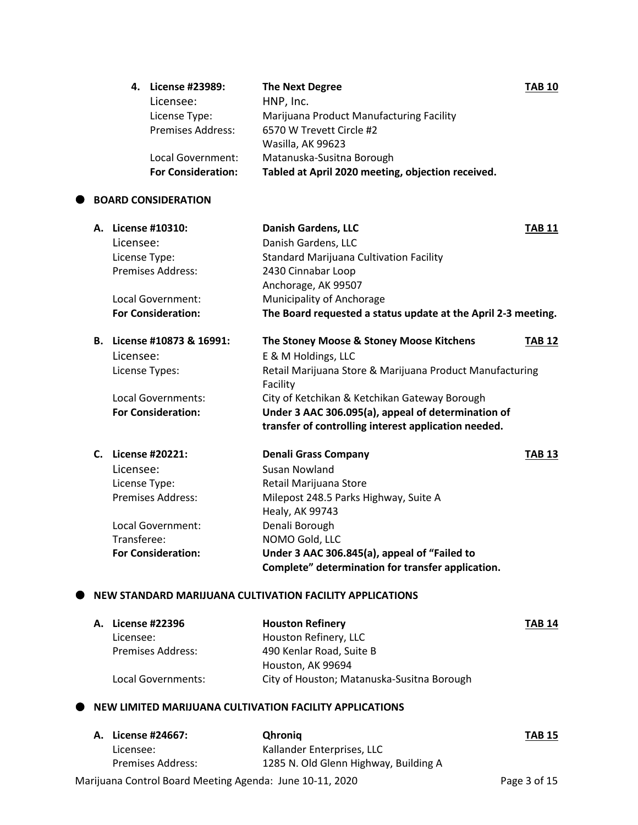| 4. License #23989:        | <b>The Next Degree</b>                            | <b>TAB 10</b> |
|---------------------------|---------------------------------------------------|---------------|
| Licensee:                 | HNP, Inc.                                         |               |
| License Type:             | Marijuana Product Manufacturing Facility          |               |
| <b>Premises Address:</b>  | 6570 W Trevett Circle #2                          |               |
|                           | Wasilla, AK 99623                                 |               |
| Local Government:         | Matanuska-Susitna Borough                         |               |
| <b>For Consideration:</b> | Tabled at April 2020 meeting, objection received. |               |
|                           |                                                   |               |

#### $\bullet$  BOARD CONSIDERATION

| А. | License #10310:           | <b>Danish Gardens, LLC</b>                                    | <b>TAB 11</b> |
|----|---------------------------|---------------------------------------------------------------|---------------|
|    | Licensee:                 | Danish Gardens, LLC                                           |               |
|    | License Type:             | <b>Standard Marijuana Cultivation Facility</b>                |               |
|    | <b>Premises Address:</b>  | 2430 Cinnabar Loop                                            |               |
|    |                           | Anchorage, AK 99507                                           |               |
|    | Local Government:         | Municipality of Anchorage                                     |               |
|    | <b>For Consideration:</b> | The Board requested a status update at the April 2-3 meeting. |               |
| В. | License #10873 & 16991:   | The Stoney Moose & Stoney Moose Kitchens                      | TAB 12        |
|    | Licensee:                 | E & M Holdings, LLC                                           |               |
|    | License Types:            | Retail Marijuana Store & Marijuana Product Manufacturing      |               |
|    |                           | Facility                                                      |               |
|    | Local Governments:        | City of Ketchikan & Ketchikan Gateway Borough                 |               |
|    | <b>For Consideration:</b> | Under 3 AAC 306.095(a), appeal of determination of            |               |
|    |                           | transfer of controlling interest application needed.          |               |
| C. | License #20221:           | <b>Denali Grass Company</b>                                   | TAB 13        |
|    | Licensee:                 | Susan Nowland                                                 |               |
|    | License Type:             | Retail Marijuana Store                                        |               |
|    | Premises Address:         | Milepost 248.5 Parks Highway, Suite A                         |               |
|    |                           | Healy, AK 99743                                               |               |
|    | Local Government:         | Denali Borough                                                |               |
|    | Transferee:               | NOMO Gold, LLC                                                |               |
|    | <b>For Consideration:</b> | Under 3 AAC 306.845(a), appeal of "Failed to                  |               |
|    |                           | Complete" determination for transfer application.             |               |

### **NEW STANDARD MARIJUANA CULTIVATION FACILITY APPLICATIONS**

| A. License #22396        | <b>Houston Refinery</b>                    | <b>TAB 14</b> |
|--------------------------|--------------------------------------------|---------------|
| Licensee:                | Houston Refinery, LLC                      |               |
| <b>Premises Address:</b> | 490 Kenlar Road, Suite B                   |               |
|                          | Houston, AK 99694                          |               |
| Local Governments:       | City of Houston; Matanuska-Susitna Borough |               |

### $\bullet$  NEW LIMITED MARIJUANA CULTIVATION FACILITY APPLICATIONS

| A. License #24667:       | <b>Qhronig</b>                        | <b>TAB 15</b> |
|--------------------------|---------------------------------------|---------------|
| Licensee:                | Kallander Enterprises, LLC            |               |
| <b>Premises Address:</b> | 1285 N. Old Glenn Highway, Building A |               |
|                          |                                       |               |

Marijuana Control Board Meeting Agenda: June 10-11, 2020 **Page 3 of 15**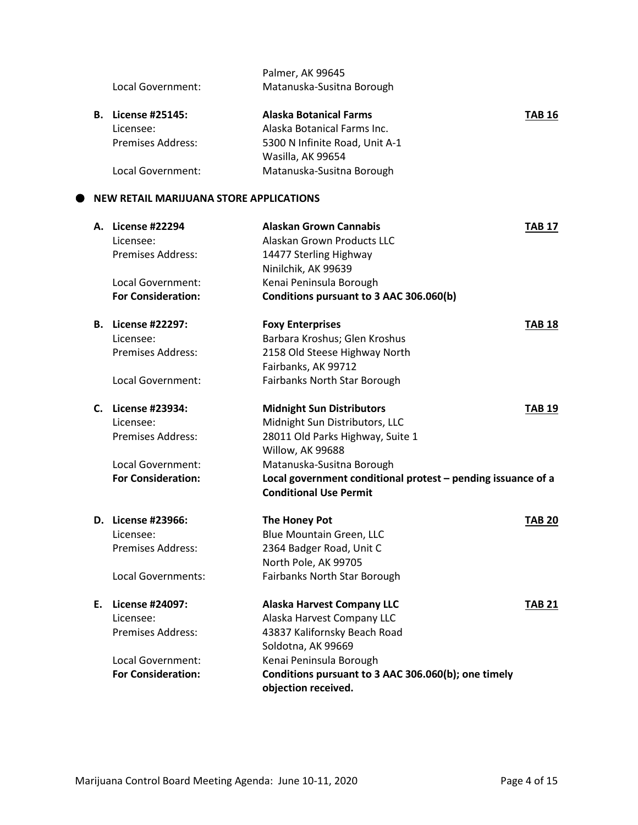|  | Local Government:<br><b>For Consideration:</b> | Matanuska-Susitna Borough<br>Local government conditional protest - pending issuance of a |               |
|--|------------------------------------------------|-------------------------------------------------------------------------------------------|---------------|
|  |                                                | Willow, AK 99688                                                                          |               |
|  | <b>Premises Address:</b>                       | 28011 Old Parks Highway, Suite 1                                                          |               |
|  | Licensee:                                      | Midnight Sun Distributors, LLC                                                            |               |
|  | C. License #23934:                             | <b>Midnight Sun Distributors</b>                                                          | <b>TAB 19</b> |
|  | Local Government:                              | Fairbanks North Star Borough                                                              |               |
|  |                                                | Fairbanks, AK 99712                                                                       |               |
|  | <b>Premises Address:</b>                       | 2158 Old Steese Highway North                                                             |               |
|  | Licensee:                                      | Barbara Kroshus; Glen Kroshus                                                             |               |
|  | <b>B.</b> License #22297:                      | <b>Foxy Enterprises</b>                                                                   | <b>TAB 18</b> |
|  | <b>For Consideration:</b>                      | Conditions pursuant to 3 AAC 306.060(b)                                                   |               |
|  | Local Government:                              | Kenai Peninsula Borough                                                                   |               |
|  |                                                | Ninilchik, AK 99639                                                                       |               |
|  | <b>Premises Address:</b>                       | 14477 Sterling Highway                                                                    |               |
|  | Licensee:                                      | Alaskan Grown Products LLC                                                                |               |
|  | A. License #22294                              | <b>Alaskan Grown Cannabis</b>                                                             | <b>TAB 17</b> |
|  | <b>NEW RETAIL MARIJUANA STORE APPLICATIONS</b> |                                                                                           |               |
|  | Local Government:                              | Matanuska-Susitna Borough                                                                 |               |
|  |                                                | Wasilla, AK 99654                                                                         |               |
|  | <b>Premises Address:</b>                       | 5300 N Infinite Road, Unit A-1                                                            |               |
|  | Licensee:                                      | Alaska Botanical Farms Inc.                                                               |               |
|  | <b>B.</b> License #25145:                      | <b>Alaska Botanical Farms</b>                                                             | <b>TAB 16</b> |
|  | Local Government:                              | Matanuska-Susitna Borough                                                                 |               |
|  |                                                |                                                                                           |               |
|  |                                                | Palmer, AK 99645                                                                          |               |

|    | D. License #23966:<br>Licensee: | The Honey Pot<br>Blue Mountain Green, LLC                                  | TAB 20        |
|----|---------------------------------|----------------------------------------------------------------------------|---------------|
|    | Premises Address:               | 2364 Badger Road, Unit C                                                   |               |
|    |                                 | North Pole, AK 99705                                                       |               |
|    | Local Governments:              | <b>Fairbanks North Star Borough</b>                                        |               |
| Е. | License #24097:                 | <b>Alaska Harvest Company LLC</b>                                          | <b>TAB 21</b> |
|    | Licensee:                       | Alaska Harvest Company LLC                                                 |               |
|    | Premises Address:               | 43837 Kalifornsky Beach Road                                               |               |
|    |                                 | Soldotna, AK 99669                                                         |               |
|    | Local Government:               | Kenai Peninsula Borough                                                    |               |
|    | <b>For Consideration:</b>       | Conditions pursuant to 3 AAC 306.060(b); one timely<br>objection received. |               |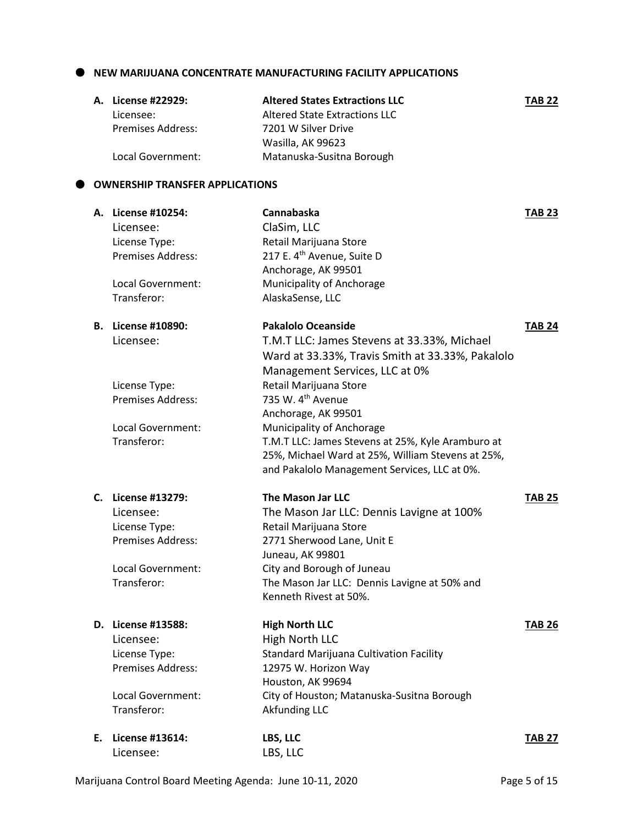#### **NEW MARIJUANA CONCENTRATE MANUFACTURING FACILITY APPLICATIONS**

| A. License #22929: | <b>Altered States Extractions LLC</b> | <b>TAB 22</b> |
|--------------------|---------------------------------------|---------------|
| Licensee:          | Altered State Extractions LLC         |               |
| Premises Address:  | 7201 W Silver Drive                   |               |
|                    | Wasilla, AK 99623                     |               |
| Local Government:  | Matanuska-Susitna Borough             |               |

#### **OWNERSHIP TRANSFER APPLICATIONS**

|    | A. License #10254:        | Cannabaska                                        | <b>TAB 23</b> |
|----|---------------------------|---------------------------------------------------|---------------|
|    | Licensee:                 | ClaSim, LLC                                       |               |
|    | License Type:             | Retail Marijuana Store                            |               |
|    | <b>Premises Address:</b>  | 217 E. 4 <sup>th</sup> Avenue, Suite D            |               |
|    |                           | Anchorage, AK 99501                               |               |
|    | Local Government:         | Municipality of Anchorage                         |               |
|    | Transferor:               | AlaskaSense, LLC                                  |               |
|    | <b>B.</b> License #10890: | <b>Pakalolo Oceanside</b>                         | <b>TAB 24</b> |
|    | Licensee:                 | T.M.T LLC: James Stevens at 33.33%, Michael       |               |
|    |                           | Ward at 33.33%, Travis Smith at 33.33%, Pakalolo  |               |
|    |                           | Management Services, LLC at 0%                    |               |
|    | License Type:             | Retail Marijuana Store                            |               |
|    | <b>Premises Address:</b>  | 735 W. 4 <sup>th</sup> Avenue                     |               |
|    |                           | Anchorage, AK 99501                               |               |
|    | Local Government:         | Municipality of Anchorage                         |               |
|    | Transferor:               | T.M.T LLC: James Stevens at 25%, Kyle Aramburo at |               |
|    |                           | 25%, Michael Ward at 25%, William Stevens at 25%, |               |
|    |                           | and Pakalolo Management Services, LLC at 0%.      |               |
|    | C. License #13279:        | <b>The Mason Jar LLC</b>                          | <b>TAB 25</b> |
|    | Licensee:                 | The Mason Jar LLC: Dennis Lavigne at 100%         |               |
|    | License Type:             | Retail Marijuana Store                            |               |
|    | Premises Address:         | 2771 Sherwood Lane, Unit E                        |               |
|    |                           | Juneau, AK 99801                                  |               |
|    | Local Government:         | City and Borough of Juneau                        |               |
|    | Transferor:               | The Mason Jar LLC: Dennis Lavigne at 50% and      |               |
|    |                           | Kenneth Rivest at 50%.                            |               |
|    | D. License #13588:        | <b>High North LLC</b>                             | <b>TAB 26</b> |
|    | Licensee:                 | High North LLC                                    |               |
|    | License Type:             | <b>Standard Marijuana Cultivation Facility</b>    |               |
|    | Premises Address:         | 12975 W. Horizon Way                              |               |
|    |                           | Houston, AK 99694                                 |               |
|    | Local Government:         | City of Houston; Matanuska-Susitna Borough        |               |
|    | Transferor:               | <b>Akfunding LLC</b>                              |               |
| Ε. | License #13614:           | LBS, LLC                                          | <b>TAB 27</b> |
|    | Licensee:                 | LBS, LLC                                          |               |
|    |                           |                                                   |               |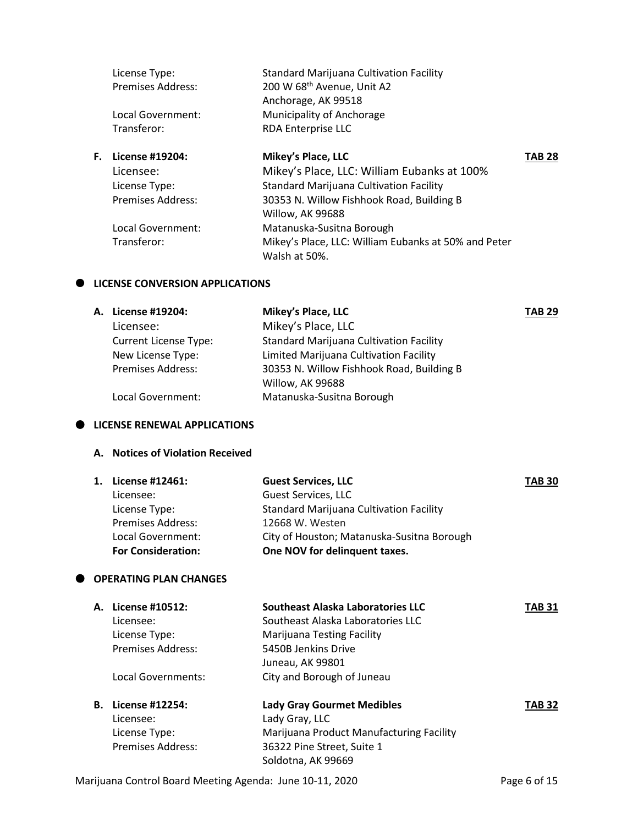|    | License Type:            | Standard Marijuana Cultivation Facility              |               |
|----|--------------------------|------------------------------------------------------|---------------|
|    | Premises Address:        | 200 W 68 <sup>th</sup> Avenue, Unit A2               |               |
|    |                          | Anchorage, AK 99518                                  |               |
|    | Local Government:        | Municipality of Anchorage                            |               |
|    | Transferor:              | RDA Enterprise LLC                                   |               |
| F. | License #19204:          | Mikey's Place, LLC                                   | <b>TAB 28</b> |
|    | Licensee:                | Mikey's Place, LLC: William Eubanks at 100%          |               |
|    | License Type:            | <b>Standard Marijuana Cultivation Facility</b>       |               |
|    | <b>Premises Address:</b> | 30353 N. Willow Fishhook Road, Building B            |               |
|    |                          | Willow, AK 99688                                     |               |
|    | Local Government:        | Matanuska-Susitna Borough                            |               |
|    | Transferor:              | Mikey's Place, LLC: William Eubanks at 50% and Peter |               |
|    |                          | Walsh at 50%.                                        |               |

#### $\bullet$  LICENSE CONVERSION APPLICATIONS

| A. License #19204:           | Mikey's Place, LLC                             | <b>TAB 29</b> |
|------------------------------|------------------------------------------------|---------------|
| Licensee:                    | Mikey's Place, LLC                             |               |
| <b>Current License Type:</b> | <b>Standard Marijuana Cultivation Facility</b> |               |
| New License Type:            | Limited Marijuana Cultivation Facility         |               |
| <b>Premises Address:</b>     | 30353 N. Willow Fishhook Road, Building B      |               |
|                              | Willow, AK 99688                               |               |
| Local Government:            | Matanuska-Susitna Borough                      |               |
|                              |                                                |               |

### **LICENSE RENEWAL APPLICATIONS**

#### **A. Notices of Violation Received**

| 1. License #12461:        | <b>Guest Services, LLC</b>                     | <b>TAB 30</b> |
|---------------------------|------------------------------------------------|---------------|
| Licensee:                 | <b>Guest Services, LLC</b>                     |               |
| License Type:             | <b>Standard Marijuana Cultivation Facility</b> |               |
| <b>Premises Address:</b>  | 12668 W. Westen                                |               |
| Local Government:         | City of Houston; Matanuska-Susitna Borough     |               |
| <b>For Consideration:</b> | One NOV for delinquent taxes.                  |               |
|                           |                                                |               |

### **OPERATING PLAN CHANGES**

| А. | License #10512:    | Southeast Alaska Laboratories LLC        | TAB 31        |
|----|--------------------|------------------------------------------|---------------|
|    | Licensee:          | Southeast Alaska Laboratories LLC        |               |
|    | License Type:      | <b>Marijuana Testing Facility</b>        |               |
|    | Premises Address:  | 5450B Jenkins Drive                      |               |
|    |                    | Juneau, AK 99801                         |               |
|    | Local Governments: | City and Borough of Juneau               |               |
| В. | License #12254:    | <b>Lady Gray Gourmet Medibles</b>        | <b>TAB 32</b> |
|    | Licensee:          | Lady Gray, LLC                           |               |
|    | License Type:      | Marijuana Product Manufacturing Facility |               |
|    | Premises Address:  | 36322 Pine Street, Suite 1               |               |
|    |                    | Soldotna, AK 99669                       |               |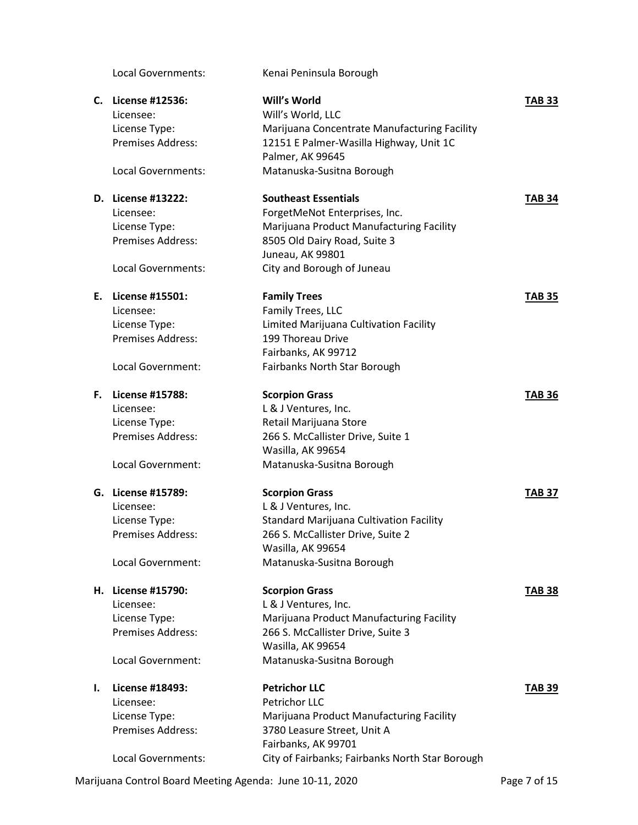Local Governments: Kenai Peninsula Borough **C. License #12536: Will's World TAB 33** Licensee: Will's World, LLC License Type: Marijuana Concentrate Manufacturing Facility Premises Address: 12151 E Palmer-Wasilla Highway, Unit 1C Palmer, AK 99645 Local Governments: Matanuska-Susitna Borough **D. License #13222: Southeast Essentials TAB 34** Licensee: ForgetMeNot Enterprises, Inc. License Type: Marijuana Product Manufacturing Facility Premises Address: 8505 Old Dairy Road, Suite 3 Juneau, AK 99801 Local Governments: City and Borough of Juneau **E. License #15501: Family Trees TAB 35** Licensee: Family Trees, LLC License Type: Limited Marijuana Cultivation Facility Premises Address: 199 Thoreau Drive Fairbanks, AK 99712 Local Government: Fairbanks North Star Borough **F. License #15788: Scorpion Grass TAB 36** Licensee: L& J Ventures, Inc. License Type: Retail Marijuana Store Premises Address: 266 S. McCallister Drive, Suite 1 Wasilla, AK 99654 Local Government: Matanuska-Susitna Borough **G. License #15789: Scorpion Grass TAB 37** Licensee: L& J Ventures, Inc. License Type: Standard Marijuana Cultivation Facility Premises Address: 266 S. McCallister Drive, Suite 2 Wasilla, AK 99654 Local Government: Matanuska-Susitna Borough **H. License #15790: Scorpion Grass TAB 38** Licensee: L& J Ventures, Inc. License Type: Marijuana Product Manufacturing Facility Premises Address: 266 S. McCallister Drive, Suite 3 Wasilla, AK 99654 Local Government: Matanuska-Susitna Borough **I. License #18493: Petrichor LLC TAB 39** Licensee: Petrichor LLC License Type: Marijuana Product Manufacturing Facility Premises Address: 3780 Leasure Street, Unit A Fairbanks, AK 99701 Local Governments: City of Fairbanks; Fairbanks North Star Borough

Marijuana Control Board Meeting Agenda: June 10-11, 2020 **Page 7 of 15** Page 7 of 15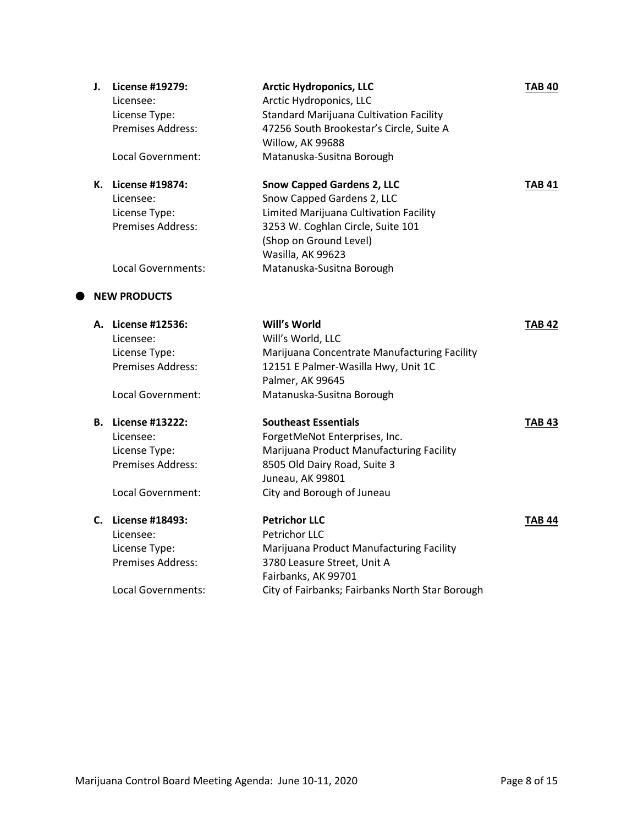| J. | License #19279:<br>Licensee:<br>License Type:<br>Premises Address:<br>Local Government:                  | <b>Arctic Hydroponics, LLC</b><br>Arctic Hydroponics, LLC<br><b>Standard Marijuana Cultivation Facility</b><br>47256 South Brookestar's Circle, Suite A<br>Willow, AK 99688<br>Matanuska-Susitna Borough                   | <b>TAB 40</b> |
|----|----------------------------------------------------------------------------------------------------------|----------------------------------------------------------------------------------------------------------------------------------------------------------------------------------------------------------------------------|---------------|
|    | K. License #19874:<br>Licensee:<br>License Type:<br><b>Premises Address:</b><br>Local Governments:       | <b>Snow Capped Gardens 2, LLC</b><br>Snow Capped Gardens 2, LLC<br>Limited Marijuana Cultivation Facility<br>3253 W. Coghlan Circle, Suite 101<br>(Shop on Ground Level)<br>Wasilla, AK 99623<br>Matanuska-Susitna Borough | TAB 41        |
|    | <b>NEW PRODUCTS</b>                                                                                      |                                                                                                                                                                                                                            |               |
|    |                                                                                                          |                                                                                                                                                                                                                            |               |
|    | A. License #12536:<br>Licensee:<br>License Type:<br><b>Premises Address:</b><br>Local Government:        | Will's World<br>Will's World, LLC<br>Marijuana Concentrate Manufacturing Facility<br>12151 E Palmer-Wasilla Hwy, Unit 1C<br>Palmer, AK 99645<br>Matanuska-Susitna Borough                                                  | TAB 42        |
|    | <b>B.</b> License #13222:<br>Licensee:<br>License Type:<br><b>Premises Address:</b><br>Local Government: | <b>Southeast Essentials</b><br>ForgetMeNot Enterprises, Inc.<br>Marijuana Product Manufacturing Facility<br>8505 Old Dairy Road, Suite 3<br>Juneau, AK 99801<br>City and Borough of Juneau                                 | TAB 43        |
|    | C. License #18493:<br>Licensee:<br>License Type:<br><b>Premises Address:</b><br>Local Governments:       | <b>Petrichor LLC</b><br>Petrichor LLC<br>Marijuana Product Manufacturing Facility<br>3780 Leasure Street, Unit A<br>Fairbanks, AK 99701<br>City of Fairbanks; Fairbanks North Star Borough                                 | <b>TAB 44</b> |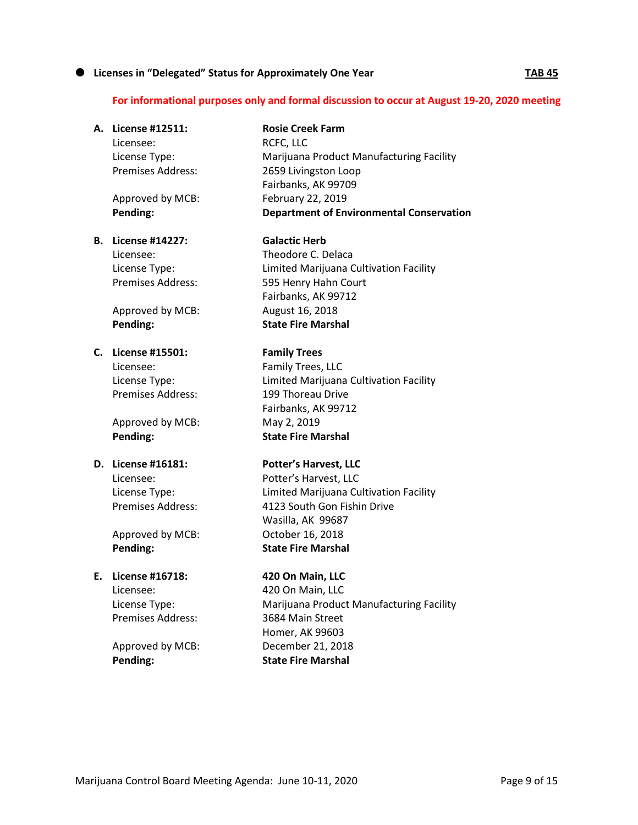## **Licenses in "Delegated" Status for Approximately One Year TAB 45**

# **For informational purposes only and formal discussion to occur at August 19-20, 2020 meeting**

|    |                           | For informational purposes only and formal discussion to occur at August 1: |
|----|---------------------------|-----------------------------------------------------------------------------|
|    | A. License #12511:        | <b>Rosie Creek Farm</b>                                                     |
|    | Licensee:                 | RCFC, LLC                                                                   |
|    | License Type:             | Marijuana Product Manufacturing Facility                                    |
|    | <b>Premises Address:</b>  | 2659 Livingston Loop                                                        |
|    |                           | Fairbanks, AK 99709                                                         |
|    | Approved by MCB:          | February 22, 2019                                                           |
|    | Pending:                  | <b>Department of Environmental Conservation</b>                             |
|    | <b>B.</b> License #14227: | <b>Galactic Herb</b>                                                        |
|    | Licensee:                 | Theodore C. Delaca                                                          |
|    | License Type:             | Limited Marijuana Cultivation Facility                                      |
|    | <b>Premises Address:</b>  | 595 Henry Hahn Court                                                        |
|    |                           | Fairbanks, AK 99712                                                         |
|    | Approved by MCB:          | August 16, 2018                                                             |
|    | Pending:                  | <b>State Fire Marshal</b>                                                   |
|    | C. License #15501:        | <b>Family Trees</b>                                                         |
|    | Licensee:                 | Family Trees, LLC                                                           |
|    | License Type:             | Limited Marijuana Cultivation Facility                                      |
|    | <b>Premises Address:</b>  | 199 Thoreau Drive                                                           |
|    |                           | Fairbanks, AK 99712                                                         |
|    | Approved by MCB:          | May 2, 2019                                                                 |
|    | Pending:                  | <b>State Fire Marshal</b>                                                   |
|    | D. License #16181:        | <b>Potter's Harvest, LLC</b>                                                |
|    | Licensee:                 | Potter's Harvest, LLC                                                       |
|    | License Type:             | Limited Marijuana Cultivation Facility                                      |
|    | <b>Premises Address:</b>  | 4123 South Gon Fishin Drive                                                 |
|    |                           | Wasilla, AK 99687                                                           |
|    | Approved by MCB:          | October 16, 2018                                                            |
|    | Pending:                  | <b>State Fire Marshal</b>                                                   |
| Ε. | License #16718:           | 420 On Main, LLC                                                            |
|    | Licensee:                 | 420 On Main, LLC                                                            |
|    | License Type:             | Marijuana Product Manufacturing Facility                                    |
|    | Premises Address:         | 3684 Main Street                                                            |
|    |                           | Homer, AK 99603                                                             |
|    | Approved by MCB:          | December 21, 2018                                                           |
|    | Pending:                  | <b>State Fire Marshal</b>                                                   |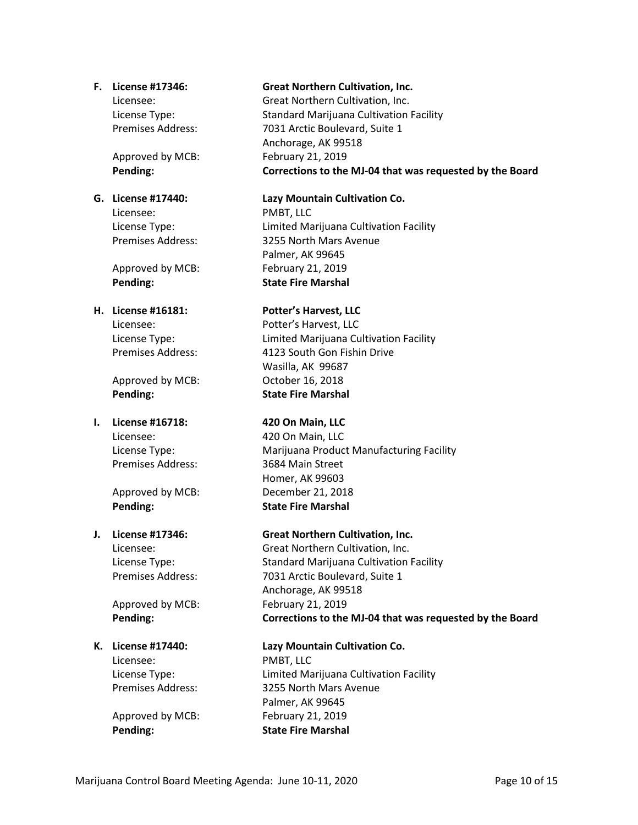Approved by MCB: February 21, 2019

Licensee: PMBT, LLC

Approved by MCB: February 21, 2019

Approved by MCB: October 16, 2018 **Pending: State Fire Marshal**

# **I. License #16718: 420 On Main, LLC** Licensee: 420 On Main, LLC

**Pending: State Fire Marshal**

Approved by MCB: February 21, 2019

# Licensee: PMBT, LLC

#### **F. License #17346: Great Northern Cultivation, Inc.**

Licensee: Great Northern Cultivation, Inc. License Type: Standard Marijuana Cultivation Facility Premises Address: 7031 Arctic Boulevard, Suite 1 Anchorage, AK 99518 **Pending: Corrections to the MJ-04 that was requested by the Board**

#### **G. License #17440: Lazy Mountain Cultivation Co.**

License Type: Limited Marijuana Cultivation Facility Premises Address: 3255 North Mars Avenue Palmer, AK 99645 **Pending: State Fire Marshal**

### **H. License #16181: Potter's Harvest, LLC**

Licensee: Potter's Harvest, LLC License Type: Limited Marijuana Cultivation Facility Premises Address: 4123 South Gon Fishin Drive Wasilla, AK 99687

License Type: Marijuana Product Manufacturing Facility Premises Address: 3684 Main Street Homer, AK 99603 Approved by MCB: December 21, 2018

### **J. License #17346: Great Northern Cultivation, Inc.**

Licensee: Great Northern Cultivation, Inc. License Type: Standard Marijuana Cultivation Facility Premises Address: 7031 Arctic Boulevard, Suite 1 Anchorage, AK 99518 **Pending: Corrections to the MJ-04 that was requested by the Board**

### **K. License #17440: Lazy Mountain Cultivation Co.**

License Type: Limited Marijuana Cultivation Facility Premises Address: 3255 North Mars Avenue Palmer, AK 99645 Approved by MCB: February 21, 2019 **Pending: State Fire Marshal**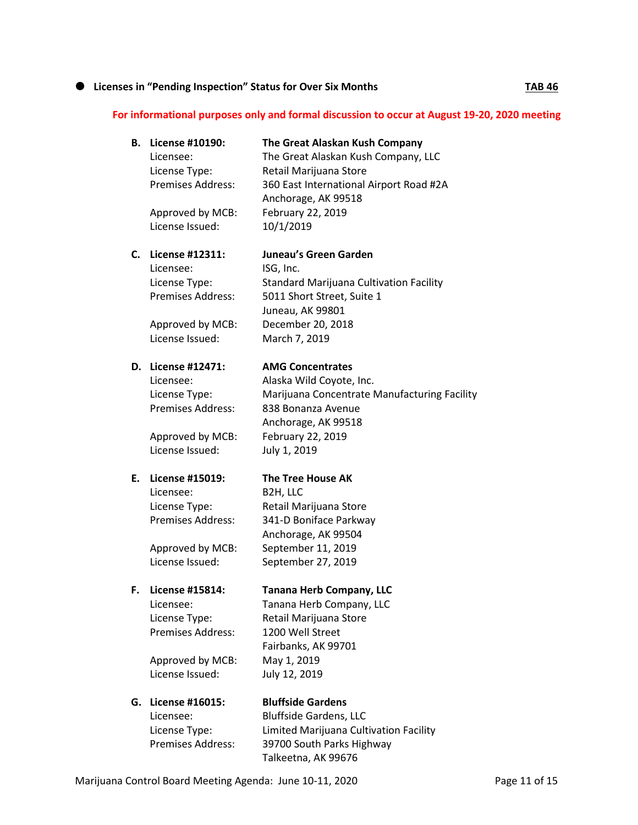## **1** Licenses in "Pending Inspection" Status for Over Six Months **TAB 46**

### **For informational purposes only and formal discussion to occur at August 19-20, 2020 meeting**

| В. | <b>License #10190:</b><br>Licensee:<br>License Type:<br><b>Premises Address:</b> | The Great Alaskan Kush Company<br>The Great Alaskan Kush Company, LLC<br>Retail Marijuana Store<br>360 East International Airport Road #2A<br>Anchorage, AK 99518 |
|----|----------------------------------------------------------------------------------|-------------------------------------------------------------------------------------------------------------------------------------------------------------------|
|    | Approved by MCB:<br>License Issued:                                              | February 22, 2019<br>10/1/2019                                                                                                                                    |
|    | C. License #12311:                                                               | Juneau's Green Garden                                                                                                                                             |
|    | Licensee:                                                                        | ISG, Inc.                                                                                                                                                         |
|    | License Type:<br><b>Premises Address:</b>                                        | Standard Marijuana Cultivation Facility<br>5011 Short Street, Suite 1                                                                                             |
|    |                                                                                  | Juneau, AK 99801                                                                                                                                                  |
|    | Approved by MCB:                                                                 | December 20, 2018                                                                                                                                                 |
|    | License Issued:                                                                  | March 7, 2019                                                                                                                                                     |
|    | D. License #12471:                                                               | <b>AMG Concentrates</b>                                                                                                                                           |
|    | Licensee:                                                                        | Alaska Wild Coyote, Inc.                                                                                                                                          |
|    | License Type:                                                                    | Marijuana Concentrate Manufacturing Facility                                                                                                                      |
|    | <b>Premises Address:</b>                                                         | 838 Bonanza Avenue                                                                                                                                                |
|    |                                                                                  | Anchorage, AK 99518                                                                                                                                               |
|    | Approved by MCB:<br>License Issued:                                              | February 22, 2019<br>July 1, 2019                                                                                                                                 |
| Е. | License #15019:                                                                  | <b>The Tree House AK</b>                                                                                                                                          |
|    | Licensee:                                                                        | B2H, LLC                                                                                                                                                          |
|    | License Type:                                                                    | Retail Marijuana Store                                                                                                                                            |
|    | Premises Address:                                                                | 341-D Boniface Parkway                                                                                                                                            |
|    |                                                                                  | Anchorage, AK 99504                                                                                                                                               |
|    | Approved by MCB:                                                                 | September 11, 2019                                                                                                                                                |
|    | License Issued:                                                                  | September 27, 2019                                                                                                                                                |
| F. | License #15814:                                                                  | <b>Tanana Herb Company, LLC</b>                                                                                                                                   |
|    | Licensee:                                                                        | Tanana Herb Company, LLC                                                                                                                                          |
|    | License Type:                                                                    | Retail Marijuana Store                                                                                                                                            |
|    | Premises Address:                                                                | 1200 Well Street                                                                                                                                                  |
|    |                                                                                  | Fairbanks, AK 99701                                                                                                                                               |
|    | Approved by MCB:<br>License Issued:                                              | May 1, 2019                                                                                                                                                       |
|    |                                                                                  | July 12, 2019                                                                                                                                                     |
| G. | License #16015:                                                                  | <b>Bluffside Gardens</b>                                                                                                                                          |
|    | Licensee:                                                                        | <b>Bluffside Gardens, LLC</b>                                                                                                                                     |
|    | License Type:                                                                    | Limited Marijuana Cultivation Facility                                                                                                                            |
|    | Premises Address:                                                                | 39700 South Parks Highway                                                                                                                                         |
|    |                                                                                  | Talkeetna, AK 99676                                                                                                                                               |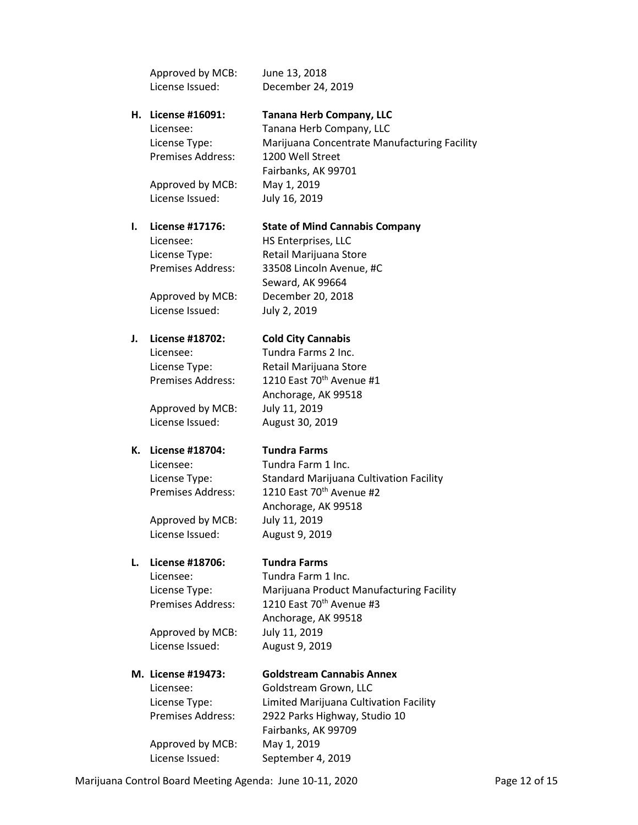|    | Approved by MCB:         | June 13, 2018                                |
|----|--------------------------|----------------------------------------------|
|    | License Issued:          | December 24, 2019                            |
| Н. | License #16091:          | <b>Tanana Herb Company, LLC</b>              |
|    | Licensee:                | Tanana Herb Company, LLC                     |
|    | License Type:            | Marijuana Concentrate Manufacturing Facility |
|    | <b>Premises Address:</b> | 1200 Well Street                             |
|    |                          | Fairbanks, AK 99701                          |
|    | Approved by MCB:         | May 1, 2019                                  |
|    | License Issued:          | July 16, 2019                                |
| ı. | License #17176:          | <b>State of Mind Cannabis Company</b>        |
|    | Licensee:                | HS Enterprises, LLC                          |
|    | License Type:            | Retail Marijuana Store                       |
|    | <b>Premises Address:</b> | 33508 Lincoln Avenue, #C                     |
|    |                          | Seward, AK 99664                             |
|    | Approved by MCB:         | December 20, 2018                            |
|    | License Issued:          | July 2, 2019                                 |
| J. | License #18702:          | <b>Cold City Cannabis</b>                    |
|    | Licensee:                | Tundra Farms 2 Inc.                          |
|    | License Type:            | Retail Marijuana Store                       |
|    | <b>Premises Address:</b> | 1210 East 70th Avenue #1                     |
|    |                          | Anchorage, AK 99518                          |
|    | Approved by MCB:         | July 11, 2019                                |
|    | License Issued:          | August 30, 2019                              |
| К. | <b>License #18704:</b>   | <b>Tundra Farms</b>                          |
|    | Licensee:                | Tundra Farm 1 Inc.                           |
|    | License Type:            | Standard Marijuana Cultivation Facility      |
|    | <b>Premises Address:</b> | 1210 East 70th Avenue #2                     |
|    |                          | Anchorage, AK 99518                          |
|    | Approved by MCB:         | July 11, 2019                                |
|    | License Issued:          | August 9, 2019                               |
| L. | License #18706:          | <b>Tundra Farms</b>                          |
|    | Licensee:                | Tundra Farm 1 Inc.                           |
|    | License Type:            | Marijuana Product Manufacturing Facility     |
|    | <b>Premises Address:</b> | 1210 East 70th Avenue #3                     |
|    |                          | Anchorage, AK 99518                          |
|    | Approved by MCB:         | July 11, 2019                                |
|    | License Issued:          | August 9, 2019                               |
|    | M. License #19473:       | <b>Goldstream Cannabis Annex</b>             |
|    | Licensee:                | Goldstream Grown, LLC                        |
|    | License Type:            | Limited Marijuana Cultivation Facility       |
|    | <b>Premises Address:</b> | 2922 Parks Highway, Studio 10                |
|    |                          | Fairbanks, AK 99709                          |
|    | Approved by MCB:         | May 1, 2019                                  |

License Issued: September 4, 2019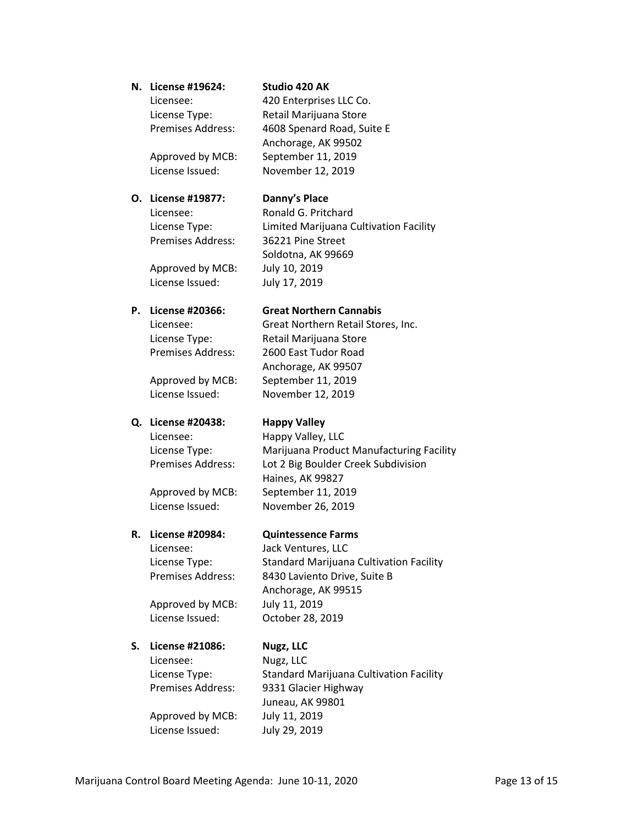#### **N. License #19624: Studio 420 AK**

420 Enterprises LLC Co. Retail Marijuana Store 4608 Spenard Road, Suite E Anchorage, AK 99502

| Licensee:         |  |
|-------------------|--|
| License Type:     |  |
| Premises Address: |  |

Approved by MCB: September 11, 2019 License Issued: November 12, 2019

#### **O. License #19877: Danny's Place**

Licensee: Ronald G. Pritchard License Type: Limited Marijuana Cultivation Facility Premises Address: 36221 Pine Street Soldotna, AK 99669 Approved by MCB: July 10, 2019 License Issued: July 17, 2019

**P. License #20366: Great Northern Cannabis** Licensee: Great Northern Retail Stores, Inc. License Type: Retail Marijuana Store Premises Address: 2600 East Tudor Road

Approved by MCB: September 11, 2019 License Issued: November 12, 2019

# **Q. License #20438: Happy Valley**

Anchorage, AK 99507

Licensee: Happy Valley, LLC License Type: Marijuana Product Manufacturing Facility Premises Address: Lot 2 Big Boulder Creek Subdivision Haines, AK 99827 Approved by MCB: September 11, 2019 License Issued: November 26, 2019

#### **R. License #20984: Quintessence Farms**

Anchorage, AK 99515

Licensee: Jack Ventures, LLC License Type: Standard Marijuana Cultivation Facility Premises Address: 8430 Laviento Drive, Suite B

Approved by MCB: July 11, 2019 License Issued: October 28, 2019

#### **S. License #21086: Nugz, LLC**

Licensee: Nugz, LLC License Type: Standard Marijuana Cultivation Facility Premises Address: 9331 Glacier Highway Juneau, AK 99801 Approved by MCB: July 11, 2019 License Issued: July 29, 2019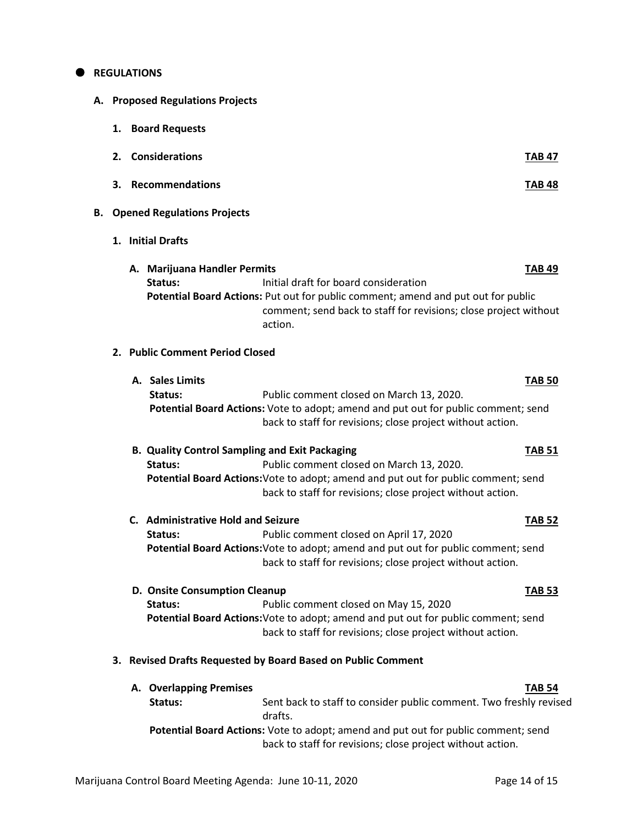#### **REGULATIONS**

- **A. Proposed Regulations Projects**
	- **1. Board Requests**
	- **2. Considerations TAB 47**
	- **3. Recommendations TAB 48**

#### **B. Opened Regulations Projects**

- **1. Initial Drafts**
	- **A. Marijuana Handler Permits TAB 49 Status:** Initial draft for board consideration  **Potential Board Actions:** Put out for public comment; amend and put out for public comment; send back to staff for revisions; close project without action.

#### **2. Public Comment Period Closed**

- **A. Sales Limits TAB 50 Status:** Public comment closed on March 13, 2020.  **Potential Board Actions:** Vote to adopt; amend and put out for public comment; send back to staff for revisions; close project without action.
- **B. Quality Control Sampling and Exit Packaging TAB 51 Status:** Public comment closed on March 13, 2020.  **Potential Board Actions:**Vote to adopt; amend and put out for public comment; send back to staff for revisions; close project without action.
- **C. Administrative Hold and Seizure TAB 52 Status:** Public comment closed on April 17, 2020  **Potential Board Actions:**Vote to adopt; amend and put out for public comment; send

back to staff for revisions; close project without action.

 **D. Onsite Consumption Cleanup TAB 53 Status:** Public comment closed on May 15, 2020  **Potential Board Actions:**Vote to adopt; amend and put out for public comment; send back to staff for revisions; close project without action.

#### **3. Revised Drafts Requested by Board Based on Public Comment**

**A. Overlapping Premises TAB 54 Status:** Sent back to staff to consider public comment. Two freshly revised drafts.  **Potential Board Actions:** Vote to adopt; amend and put out for public comment; send back to staff for revisions; close project without action.